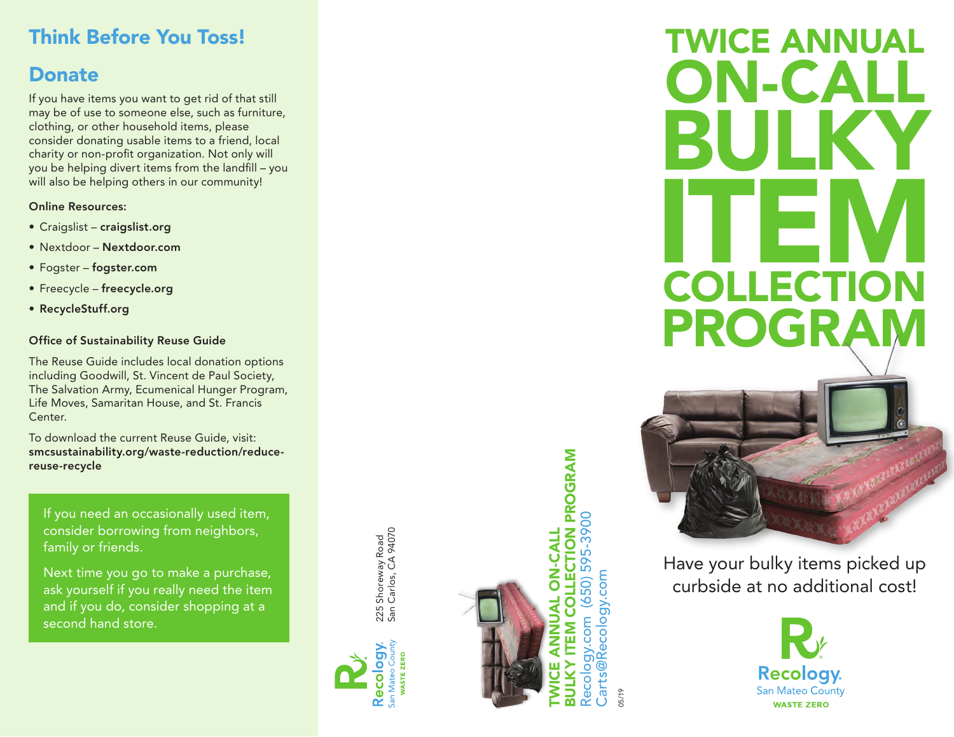## Think Before You Toss!

### Donate

If you have items you want to get rid of that still may be of use to someone else, such as furniture, clothing, or other household items, please consider donating usable items to a friend, local charity or non-profit organization. Not only will you be helping divert items from the landfill – you will also be helping others in our community!

### Online Resources:

- Craigslist craigslist.org
- Nextdoor Nextdoor.com
- Fogster fogster.com
- Freecycle freecycle.org
- RecycleStuff.org

### Office of Sustainability Reuse Guide

The Reuse Guide includes local donation options including Goodwill, St. Vincent de Paul Society, The Salvation Army, Ecumenical Hunger Program, Life Moves, Samaritan House, and St. Francis Center.

To download the current Reuse Guide, visit: smcsustainability.org/waste-reduction/reducereuse-recycle

If you need an occasionally used item, consider borrowing from neighbors, family or friends.

Next time you go to make a purchase, ask yourself if you really need the item and if you do, consider shopping at a second hand store.

225 Shoreway Road<br>San Carlos, CA 94070 San Carlos, CA 94070 225 Shoreway Road





**COLLECTION PROGRAM**<br>(650) 595-3900 BULKY ITEM COLLECTION PROGRAM Recology.com (650) 595-3900 TWICE ANNUAL ON-CALL **DN-CALI** Carts@Recology.com Carts@Recology.com Recology.com **ITEM ANTRE** 

05/19

# TWICE ANNUAL ON-CALL BULKY ITEM COLLECTION PROGRAM



Have your bulky items picked up curbside at no additional cost!